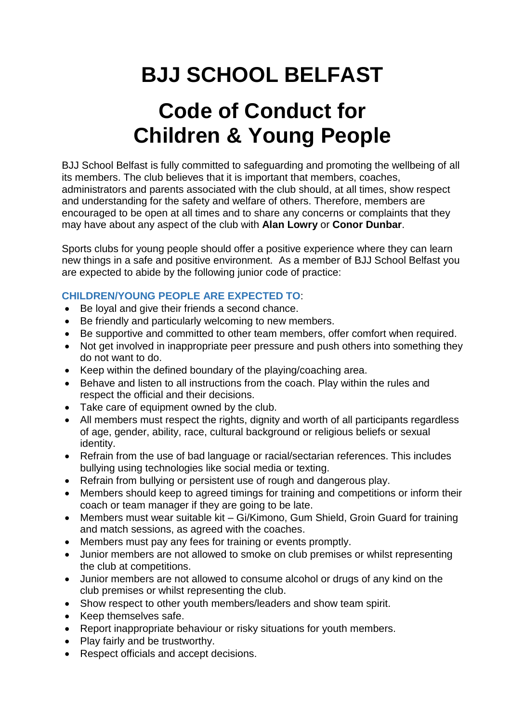## **BJJ SCHOOL BELFAST**

## **Code of Conduct for Children & Young People**

BJJ School Belfast is fully committed to safeguarding and promoting the wellbeing of all its members. The club believes that it is important that members, coaches, administrators and parents associated with the club should, at all times, show respect and understanding for the safety and welfare of others. Therefore, members are encouraged to be open at all times and to share any concerns or complaints that they may have about any aspect of the club with **Alan Lowry** or **Conor Dunbar**.

Sports clubs for young people should offer a positive experience where they can learn new things in a safe and positive environment. As a member of BJJ School Belfast you are expected to abide by the following junior code of practice:

## **CHILDREN/YOUNG PEOPLE ARE EXPECTED TO**:

- Be loyal and give their friends a second chance.
- Be friendly and particularly welcoming to new members.
- Be supportive and committed to other team members, offer comfort when required.
- Not get involved in inappropriate peer pressure and push others into something they do not want to do.
- Keep within the defined boundary of the playing/coaching area.
- Behave and listen to all instructions from the coach. Play within the rules and respect the official and their decisions.
- Take care of equipment owned by the club.
- All members must respect the rights, dignity and worth of all participants regardless of age, gender, ability, race, cultural background or religious beliefs or sexual identity.
- Refrain from the use of bad language or racial/sectarian references. This includes bullying using technologies like social media or texting.
- Refrain from bullying or persistent use of rough and dangerous play.
- Members should keep to agreed timings for training and competitions or inform their coach or team manager if they are going to be late.
- Members must wear suitable kit Gi/Kimono, Gum Shield, Groin Guard for training and match sessions, as agreed with the coaches.
- Members must pay any fees for training or events promptly.
- Junior members are not allowed to smoke on club premises or whilst representing the club at competitions.
- Junior members are not allowed to consume alcohol or drugs of any kind on the club premises or whilst representing the club.
- Show respect to other youth members/leaders and show team spirit.
- Keep themselves safe.
- Report inappropriate behaviour or risky situations for youth members.
- Play fairly and be trustworthy.
- Respect officials and accept decisions.